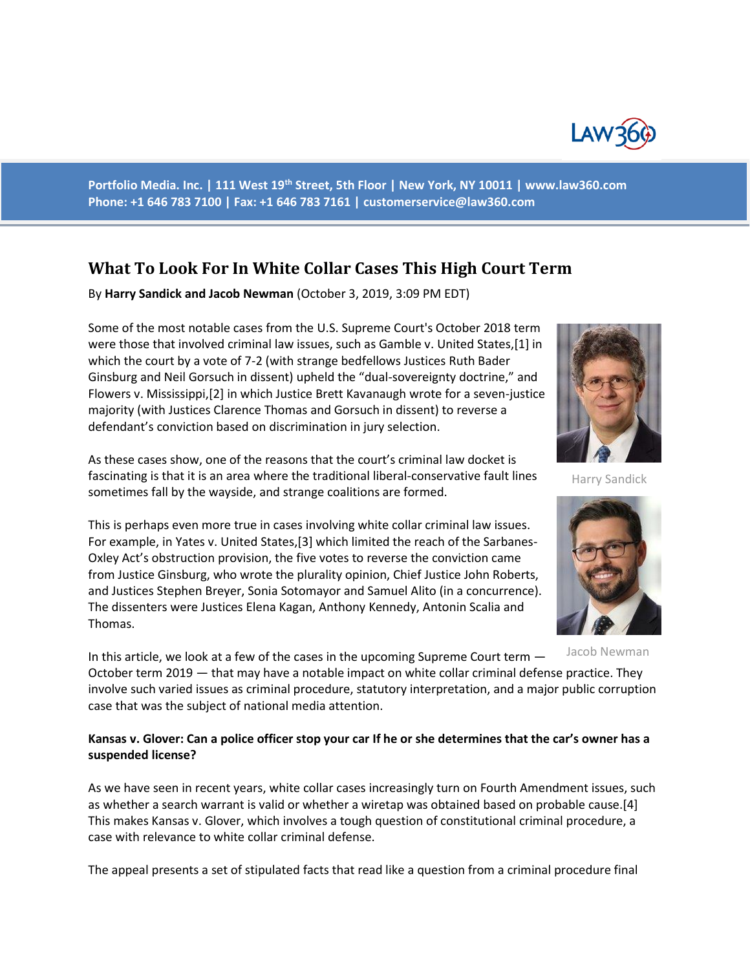

**Portfolio Media. Inc. | 111 West 19th Street, 5th Floor | New York, NY 10011 | www.law360.com Phone: +1 646 783 7100 | Fax: +1 646 783 7161 | [customerservice@law360.com](mailto:customerservice@law360.com)**

# **What To Look For In White Collar Cases This High Court Term**

By **Harry Sandick and Jacob Newman** (October 3, 2019, 3:09 PM EDT)

Some of the most notable cases from the U.S. Supreme Court's October 2018 term were those that involved criminal law issues, such as Gamble v. United States,[1] in which the court by a vote of 7-2 (with strange bedfellows Justices Ruth Bader Ginsburg and Neil Gorsuch in dissent) upheld the "dual-sovereignty doctrine," and Flowers v. Mississippi,[2] in which Justice Brett Kavanaugh wrote for a seven-justice majority (with Justices Clarence Thomas and Gorsuch in dissent) to reverse a defendant's conviction based on discrimination in jury selection.

As these cases show, one of the reasons that the court's criminal law docket is fascinating is that it is an area where the traditional liberal-conservative fault lines sometimes fall by the wayside, and strange coalitions are formed.

This is perhaps even more true in cases involving white collar criminal law issues. For example, in Yates v. United States,[3] which limited the reach of the Sarbanes-Oxley Act's obstruction provision, the five votes to reverse the conviction came from Justice Ginsburg, who wrote the plurality opinion, Chief Justice John Roberts, and Justices Stephen Breyer, Sonia Sotomayor and Samuel Alito (in a concurrence). The dissenters were Justices Elena Kagan, Anthony Kennedy, Antonin Scalia and Thomas.

In this article, we look at a few of the cases in the upcoming Supreme Court term — October term 2019 — that may have a notable impact on white collar criminal defense practice. They involve such varied issues as criminal procedure, statutory interpretation, and a major public corruption case that was the subject of national media attention.

### **Kansas v. Glover: Can a police officer stop your car If he or she determines that the car's owner has a suspended license?**

As we have seen in recent years, white collar cases increasingly turn on Fourth Amendment issues, such as whether a search warrant is valid or whether a wiretap was obtained based on probable cause.[4] This makes Kansas v. Glover, which involves a tough question of constitutional criminal procedure, a case with relevance to white collar criminal defense.

The appeal presents a set of stipulated facts that read like a question from a criminal procedure final



Harry Sandick



Jacob Newman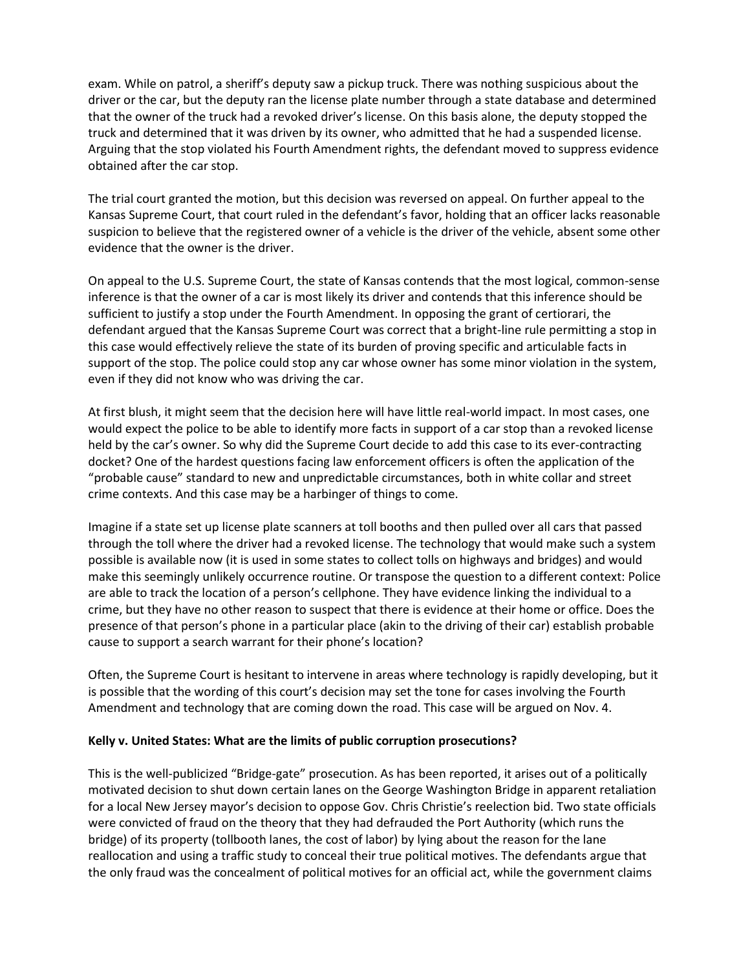exam. While on patrol, a sheriff's deputy saw a pickup truck. There was nothing suspicious about the driver or the car, but the deputy ran the license plate number through a state database and determined that the owner of the truck had a revoked driver's license. On this basis alone, the deputy stopped the truck and determined that it was driven by its owner, who admitted that he had a suspended license. Arguing that the stop violated his Fourth Amendment rights, the defendant moved to suppress evidence obtained after the car stop.

The trial court granted the motion, but this decision was reversed on appeal. On further appeal to the Kansas Supreme Court, that court ruled in the defendant's favor, holding that an officer lacks reasonable suspicion to believe that the registered owner of a vehicle is the driver of the vehicle, absent some other evidence that the owner is the driver.

On appeal to the U.S. Supreme Court, the state of Kansas contends that the most logical, common-sense inference is that the owner of a car is most likely its driver and contends that this inference should be sufficient to justify a stop under the Fourth Amendment. In opposing the grant of certiorari, the defendant argued that the Kansas Supreme Court was correct that a bright-line rule permitting a stop in this case would effectively relieve the state of its burden of proving specific and articulable facts in support of the stop. The police could stop any car whose owner has some minor violation in the system, even if they did not know who was driving the car.

At first blush, it might seem that the decision here will have little real-world impact. In most cases, one would expect the police to be able to identify more facts in support of a car stop than a revoked license held by the car's owner. So why did the Supreme Court decide to add this case to its ever-contracting docket? One of the hardest questions facing law enforcement officers is often the application of the "probable cause" standard to new and unpredictable circumstances, both in white collar and street crime contexts. And this case may be a harbinger of things to come.

Imagine if a state set up license plate scanners at toll booths and then pulled over all cars that passed through the toll where the driver had a revoked license. The technology that would make such a system possible is available now (it is used in some states to collect tolls on highways and bridges) and would make this seemingly unlikely occurrence routine. Or transpose the question to a different context: Police are able to track the location of a person's cellphone. They have evidence linking the individual to a crime, but they have no other reason to suspect that there is evidence at their home or office. Does the presence of that person's phone in a particular place (akin to the driving of their car) establish probable cause to support a search warrant for their phone's location?

Often, the Supreme Court is hesitant to intervene in areas where technology is rapidly developing, but it is possible that the wording of this court's decision may set the tone for cases involving the Fourth Amendment and technology that are coming down the road. This case will be argued on Nov. 4.

### **Kelly v. United States: What are the limits of public corruption prosecutions?**

This is the well-publicized "Bridge-gate" prosecution. As has been reported, it arises out of a politically motivated decision to shut down certain lanes on the George Washington Bridge in apparent retaliation for a local New Jersey mayor's decision to oppose Gov. Chris Christie's reelection bid. Two state officials were convicted of fraud on the theory that they had defrauded the Port Authority (which runs the bridge) of its property (tollbooth lanes, the cost of labor) by lying about the reason for the lane reallocation and using a traffic study to conceal their true political motives. The defendants argue that the only fraud was the concealment of political motives for an official act, while the government claims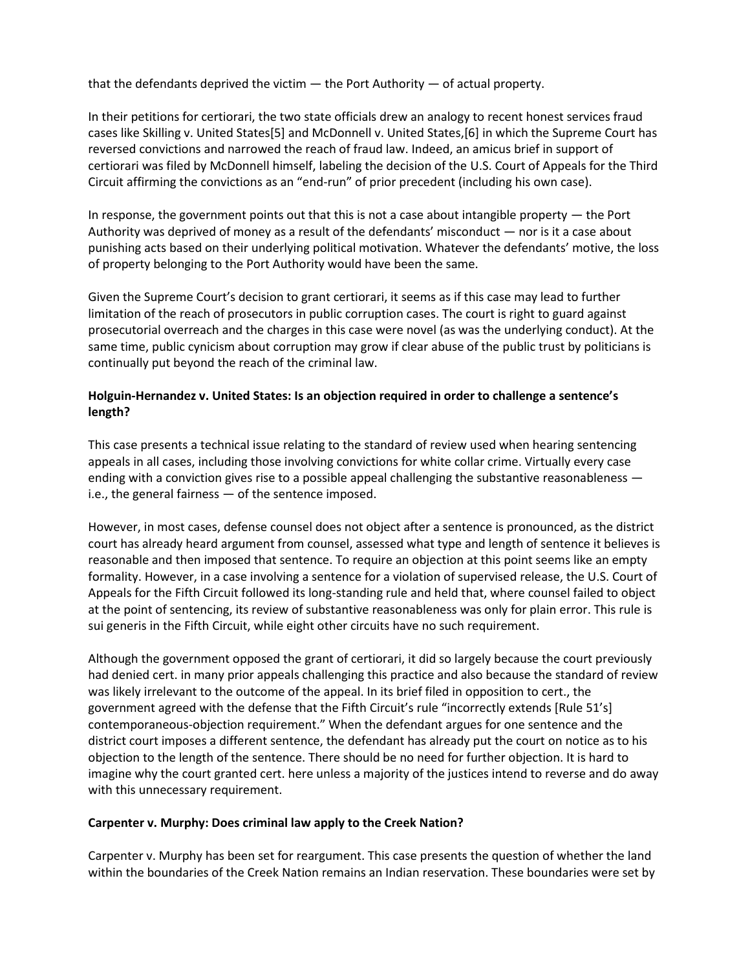that the defendants deprived the victim  $-$  the Port Authority  $-$  of actual property.

In their petitions for certiorari, the two state officials drew an analogy to recent honest services fraud cases like Skilling v. United States[5] and McDonnell v. United States,[6] in which the Supreme Court has reversed convictions and narrowed the reach of fraud law. Indeed, an amicus brief in support of certiorari was filed by McDonnell himself, labeling the decision of the U.S. Court of Appeals for the Third Circuit affirming the convictions as an "end-run" of prior precedent (including his own case).

In response, the government points out that this is not a case about intangible property — the Port Authority was deprived of money as a result of the defendants' misconduct — nor is it a case about punishing acts based on their underlying political motivation. Whatever the defendants' motive, the loss of property belonging to the Port Authority would have been the same.

Given the Supreme Court's decision to grant certiorari, it seems as if this case may lead to further limitation of the reach of prosecutors in public corruption cases. The court is right to guard against prosecutorial overreach and the charges in this case were novel (as was the underlying conduct). At the same time, public cynicism about corruption may grow if clear abuse of the public trust by politicians is continually put beyond the reach of the criminal law.

## **Holguin-Hernandez v. United States: Is an objection required in order to challenge a sentence's length?**

This case presents a technical issue relating to the standard of review used when hearing sentencing appeals in all cases, including those involving convictions for white collar crime. Virtually every case ending with a conviction gives rise to a possible appeal challenging the substantive reasonableness i.e., the general fairness — of the sentence imposed.

However, in most cases, defense counsel does not object after a sentence is pronounced, as the district court has already heard argument from counsel, assessed what type and length of sentence it believes is reasonable and then imposed that sentence. To require an objection at this point seems like an empty formality. However, in a case involving a sentence for a violation of supervised release, the U.S. Court of Appeals for the Fifth Circuit followed its long-standing rule and held that, where counsel failed to object at the point of sentencing, its review of substantive reasonableness was only for plain error. This rule is sui generis in the Fifth Circuit, while eight other circuits have no such requirement.

Although the government opposed the grant of certiorari, it did so largely because the court previously had denied cert. in many prior appeals challenging this practice and also because the standard of review was likely irrelevant to the outcome of the appeal. In its brief filed in opposition to cert., the government agreed with the defense that the Fifth Circuit's rule "incorrectly extends [Rule 51's] contemporaneous-objection requirement." When the defendant argues for one sentence and the district court imposes a different sentence, the defendant has already put the court on notice as to his objection to the length of the sentence. There should be no need for further objection. It is hard to imagine why the court granted cert. here unless a majority of the justices intend to reverse and do away with this unnecessary requirement.

### **Carpenter v. Murphy: Does criminal law apply to the Creek Nation?**

Carpenter v. Murphy has been set for reargument. This case presents the question of whether the land within the boundaries of the Creek Nation remains an Indian reservation. These boundaries were set by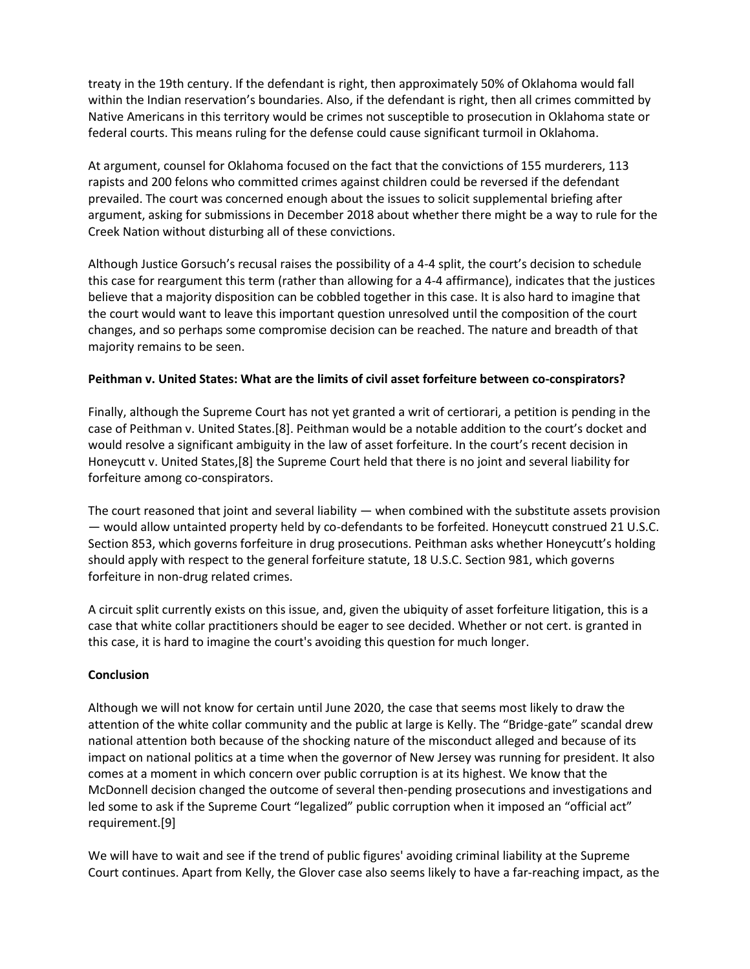treaty in the 19th century. If the defendant is right, then approximately 50% of Oklahoma would fall within the Indian reservation's boundaries. Also, if the defendant is right, then all crimes committed by Native Americans in this territory would be crimes not susceptible to prosecution in Oklahoma state or federal courts. This means ruling for the defense could cause significant turmoil in Oklahoma.

At argument, counsel for Oklahoma focused on the fact that the convictions of 155 murderers, 113 rapists and 200 felons who committed crimes against children could be reversed if the defendant prevailed. The court was concerned enough about the issues to solicit supplemental briefing after argument, asking for submissions in December 2018 about whether there might be a way to rule for the Creek Nation without disturbing all of these convictions.

Although Justice Gorsuch's recusal raises the possibility of a 4-4 split, the court's decision to schedule this case for reargument this term (rather than allowing for a 4-4 affirmance), indicates that the justices believe that a majority disposition can be cobbled together in this case. It is also hard to imagine that the court would want to leave this important question unresolved until the composition of the court changes, and so perhaps some compromise decision can be reached. The nature and breadth of that majority remains to be seen.

### **Peithman v. United States: What are the limits of civil asset forfeiture between co-conspirators?**

Finally, although the Supreme Court has not yet granted a writ of certiorari, a petition is pending in the case of Peithman v. United States.[8]. Peithman would be a notable addition to the court's docket and would resolve a significant ambiguity in the law of asset forfeiture. In the court's recent decision in Honeycutt v. United States,[8] the Supreme Court held that there is no joint and several liability for forfeiture among co-conspirators.

The court reasoned that joint and several liability — when combined with the substitute assets provision — would allow untainted property held by co-defendants to be forfeited. Honeycutt construed 21 U.S.C. Section 853, which governs forfeiture in drug prosecutions. Peithman asks whether Honeycutt's holding should apply with respect to the general forfeiture statute, 18 U.S.C. Section 981, which governs forfeiture in non-drug related crimes.

A circuit split currently exists on this issue, and, given the ubiquity of asset forfeiture litigation, this is a case that white collar practitioners should be eager to see decided. Whether or not cert. is granted in this case, it is hard to imagine the court's avoiding this question for much longer.

#### **Conclusion**

Although we will not know for certain until June 2020, the case that seems most likely to draw the attention of the white collar community and the public at large is Kelly. The "Bridge-gate" scandal drew national attention both because of the shocking nature of the misconduct alleged and because of its impact on national politics at a time when the governor of New Jersey was running for president. It also comes at a moment in which concern over public corruption is at its highest. We know that the McDonnell decision changed the outcome of several then-pending prosecutions and investigations and led some to ask if the Supreme Court "legalized" public corruption when it imposed an "official act" requirement.[9]

We will have to wait and see if the trend of public figures' avoiding criminal liability at the Supreme Court continues. Apart from Kelly, the Glover case also seems likely to have a far-reaching impact, as the